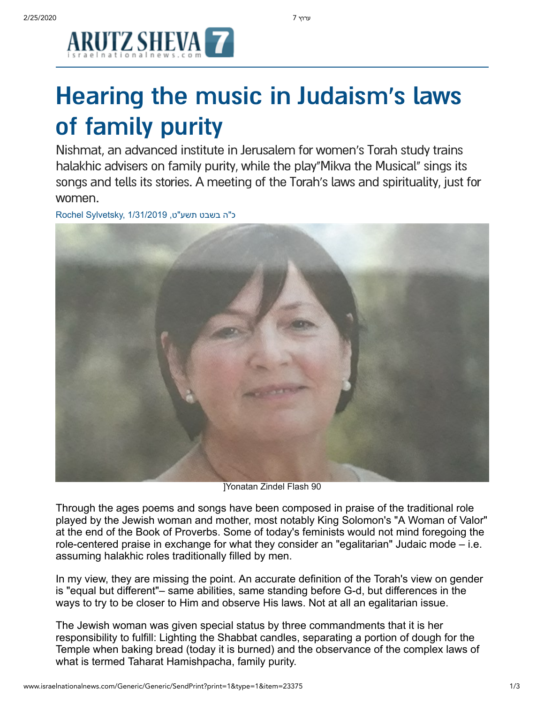

## Hearing the music in Judaism's laws of family purity

Nishmat, an advanced institute in Jerusalem for women's Torah study trains halakhic advisers on family purity, while the play"Mikva the Musical" sings its songs and tells its stories. A meeting of the Torah's laws and spirituality, just for women.

ר"ה בשבט תשע"ט, 1/31/2019 Rochel Sylvetsky,



]Yonatan Zindel Flash 90

Through the ages poems and songs have been composed in praise of the traditional role played by the Jewish woman and mother, most notably King Solomon's "A Woman of Valor" at the end of the Book of Proverbs. Some of today's feminists would not mind foregoing the role-centered praise in exchange for what they consider an "egalitarian" Judaic mode – i.e. assuming halakhic roles traditionally filled by men.

In my view, they are missing the point. An accurate definition of the Torah's view on gender is "equal but different"– same abilities, same standing before G-d, but differences in the ways to try to be closer to Him and observe His laws. Not at all an egalitarian issue.

The Jewish woman was given special status by three commandments that it is her responsibility to fulfill: Lighting the Shabbat candles, separating a portion of dough for the Temple when baking bread (today it is burned) and the observance of the complex laws of what is termed Taharat Hamishpacha, family purity.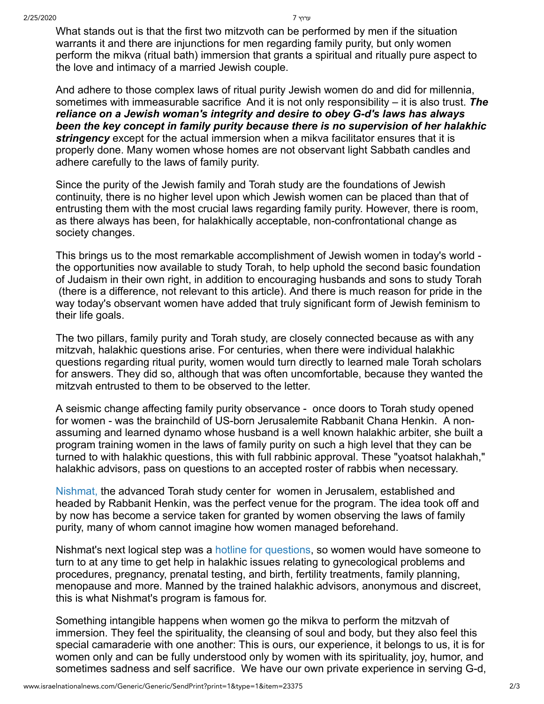What stands out is that the first two mitzvoth can be performed by men if the situation warrants it and there are injunctions for men regarding family purity, but only women perform the mikva (ritual bath) immersion that grants a spiritual and ritually pure aspect to the love and intimacy of a married Jewish couple.

And adhere to those complex laws of ritual purity Jewish women do and did for millennia, sometimes with immeasurable sacrifice And it is not only responsibility – it is also trust. *The reliance on a Jewish woman's integrity and desire to obey G-d's laws has always been the key concept in family purity because there is no supervision of her halakhic stringency* except for the actual immersion when a mikva facilitator ensures that it is properly done. Many women whose homes are not observant light Sabbath candles and adhere carefully to the laws of family purity.

Since the purity of the Jewish family and Torah study are the foundations of Jewish continuity, there is no higher level upon which Jewish women can be placed than that of entrusting them with the most crucial laws regarding family purity. However, there is room, as there always has been, for halakhically acceptable, non-confrontational change as society changes.

This brings us to the most remarkable accomplishment of Jewish women in today's world the opportunities now available to study Torah, to help uphold the second basic foundation of Judaism in their own right, in addition to encouraging husbands and sons to study Torah (there is a difference, not relevant to this article). And there is much reason for pride in the way today's observant women have added that truly significant form of Jewish feminism to their life goals.

The two pillars, family purity and Torah study, are closely connected because as with any mitzvah, halakhic questions arise. For centuries, when there were individual halakhic questions regarding ritual purity, women would turn directly to learned male Torah scholars for answers. They did so, although that was often uncomfortable, because they wanted the mitzvah entrusted to them to be observed to the letter.

A seismic change affecting family purity observance - once doors to Torah study opened for women - was the brainchild of US-born Jerusalemite Rabbanit Chana Henkin. A nonassuming and learned dynamo whose husband is a well known halakhic arbiter, she built a program training women in the laws of family purity on such a high level that they can be turned to with halakhic questions, this with full rabbinic approval. These "yoatsot halakhah," halakhic advisors, pass on questions to an accepted roster of rabbis when necessary.

[Nishmat,](http://www.nishmat.net/) the advanced Torah study center for women in Jerusalem, established and headed by Rabbanit Henkin, was the perfect venue for the program. The idea took off and by now has become a service taken for granted by women observing the laws of family purity, many of whom cannot imagine how women managed beforehand.

Nishmat's next logical step was a [hotline for questions,](http://www.yoatzot.org/hotline/) so women would have someone to turn to at any time to get help in halakhic issues relating to gynecological problems and procedures, pregnancy, prenatal testing, and birth, fertility treatments, family planning, menopause and more. Manned by the trained halakhic advisors, anonymous and discreet, this is what Nishmat's program is famous for.

Something intangible happens when women go the mikva to perform the mitzvah of immersion. They feel the spirituality, the cleansing of soul and body, but they also feel this special camaraderie with one another: This is ours, our experience, it belongs to us, it is for women only and can be fully understood only by women with its spirituality, joy, humor, and sometimes sadness and self sacrifice. We have our own private experience in serving G-d,